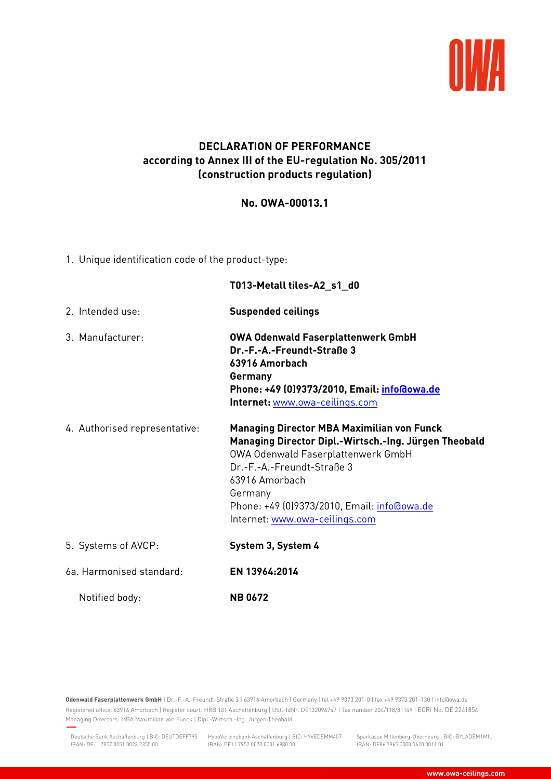

## **DECLARATION OF PERFORMANCE according to Annex III of the EU-regulation No. 305/2011 (construction products regulation)**

## **No. OWA-00013.1**

1. Unique identification code of the product-type:

|                               | T013-Metall tiles-A2_s1_d0                                                                                                                                                                                                                                                                   |
|-------------------------------|----------------------------------------------------------------------------------------------------------------------------------------------------------------------------------------------------------------------------------------------------------------------------------------------|
| 2. Intended use:              | <b>Suspended ceilings</b>                                                                                                                                                                                                                                                                    |
| 3. Manufacturer:              | <b>OWA Odenwald Faserplattenwerk GmbH</b><br>Dr.-F.-A.-Freundt-Straße 3<br>63916 Amorbach<br>Germany<br>Phone: +49 (0)9373/2010, Email: info@owa.de<br>Internet: www.owa-ceilings.com                                                                                                        |
| 4. Authorised representative: | <b>Managing Director MBA Maximilian von Funck</b><br>Managing Director Dipl.-Wirtsch.-Ing. Jürgen Theobald<br>OWA Odenwald Faserplattenwerk GmbH<br>Dr.-F.-A.-Freundt-Straße 3<br>63916 Amorbach<br>Germany<br>Phone: +49 (0)9373/2010, Email: info@owa.de<br>Internet: www.owa-ceilings.com |
| 5. Systems of AVCP:           | System 3, System 4                                                                                                                                                                                                                                                                           |
| 6a. Harmonised standard:      | EN 13964:2014                                                                                                                                                                                                                                                                                |
| Notified body:                | <b>NB0672</b>                                                                                                                                                                                                                                                                                |

**Odenwald Faserplattenwerk GmbH** | Dr.-F.-A.-Freundt-Straße 3 | 63916 Amorbach | Germany | tel +49 9373 201-0 | fax +49 9373 201-130 | info@owa.de Registered office: 63916 Amorbach | Register court: HRB 131 Aschaffenburg | USt.-IdNr. DE132096747 | Tax number 204/118/81149 | EORI No. DE 2241854 Managing Directors: MBA Maximilian von Funck | Dipl.-Wirtsch.-Ing. Jürgen Theobald

IBAN: DE11 7952 0070 0001 6880 30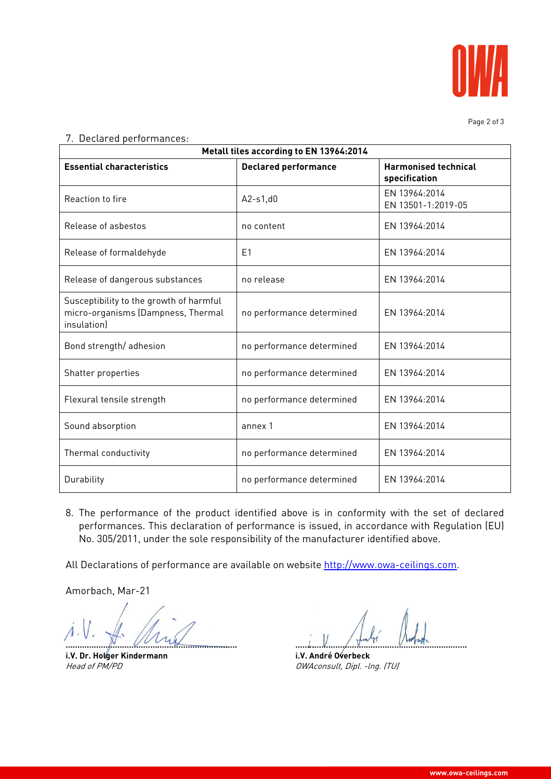

Page 2 of 3

## 7. Declared performances:

| Metall tiles according to EN 13964:2014                                                      |                             |                                              |  |  |
|----------------------------------------------------------------------------------------------|-----------------------------|----------------------------------------------|--|--|
| <b>Essential characteristics</b>                                                             | <b>Declared performance</b> | <b>Harmonised technical</b><br>specification |  |  |
| Reaction to fire                                                                             | $A2-s1,d0$                  | EN 13964:2014<br>EN 13501-1:2019-05          |  |  |
| Release of asbestos                                                                          | no content                  | EN 13964:2014                                |  |  |
| Release of formaldehyde                                                                      | F <sub>1</sub>              | EN 13964:2014                                |  |  |
| Release of dangerous substances                                                              | no release                  | FN 13964:2014                                |  |  |
| Susceptibility to the growth of harmful<br>micro-organisms (Dampness, Thermal<br>insulation) | no performance determined   | EN 13964:2014                                |  |  |
| Bond strength/adhesion                                                                       | no performance determined   | EN 13964:2014                                |  |  |
| Shatter properties                                                                           | no performance determined   | EN 13964:2014                                |  |  |
| Flexural tensile strength                                                                    | no performance determined   | EN 13964:2014                                |  |  |
| Sound absorption                                                                             | annex 1                     | FN 13964:2014                                |  |  |
| Thermal conductivity                                                                         | no performance determined   | EN 13964:2014                                |  |  |
| Durability                                                                                   | no performance determined   | EN 13964:2014                                |  |  |

8. The performance of the product identified above is in conformity with the set of declared performances. This declaration of performance is issued, in accordance with Regulation (EU) No. 305/2011, under the sole responsibility of the manufacturer identified above.

All Declarations of performance are available on website http://www.owa-ceilings.com.

Amorbach, Mar-21

**………………………………………………………………. ……………………………………………………………….** 

**i.V. Dr. Holger Kindermann i.V. André Overbeck** 

Head of PM/PD **CONSULT** DWAconsult, Dipl. -lng. (TU)